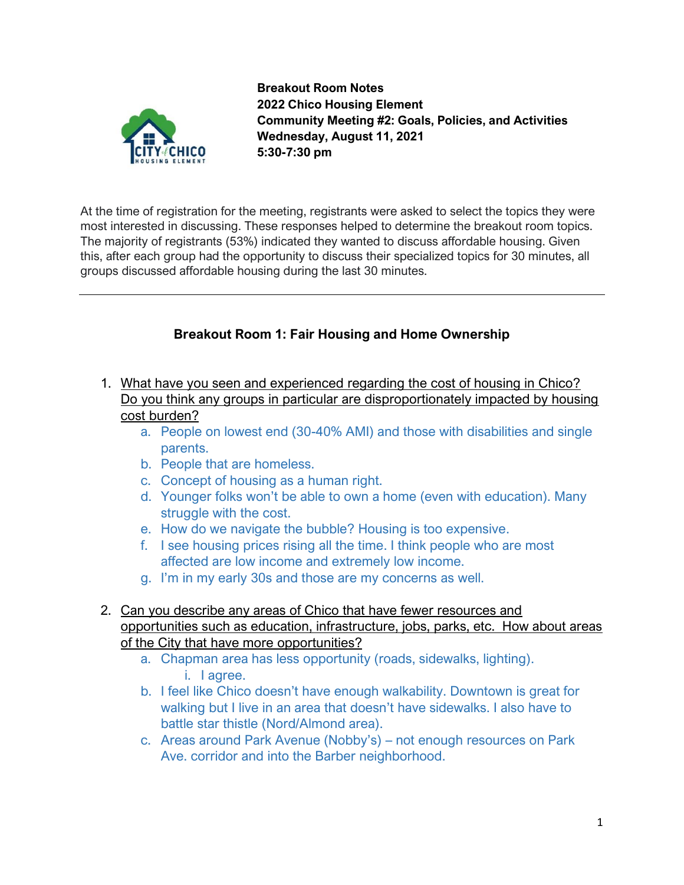

**Breakout Room Notes 2022 Chico Housing Element Community Meeting #2: Goals, Policies, and Activities Wednesday, August 11, 2021 5:30-7:30 pm**

At the time of registration for the meeting, registrants were asked to select the topics they were most interested in discussing. These responses helped to determine the breakout room topics. The majority of registrants (53%) indicated they wanted to discuss affordable housing. Given this, after each group had the opportunity to discuss their specialized topics for 30 minutes, all groups discussed affordable housing during the last 30 minutes.

# **Breakout Room 1: Fair Housing and Home Ownership**

- 1. What have you seen and experienced regarding the cost of housing in Chico? Do you think any groups in particular are disproportionately impacted by housing cost burden?
	- a. People on lowest end (30-40% AMI) and those with disabilities and single parents.
	- b. People that are homeless.
	- c. Concept of housing as a human right.
	- d. Younger folks won't be able to own a home (even with education). Many struggle with the cost.
	- e. How do we navigate the bubble? Housing is too expensive.
	- f. I see housing prices rising all the time. I think people who are most affected are low income and extremely low income.
	- g. I'm in my early 30s and those are my concerns as well.
- 2. Can you describe any areas of Chico that have fewer resources and opportunities such as education, infrastructure, jobs, parks, etc. How about areas of the City that have more opportunities?
	- a. Chapman area has less opportunity (roads, sidewalks, lighting). i. I agree.
	- b. I feel like Chico doesn't have enough walkability. Downtown is great for walking but I live in an area that doesn't have sidewalks. I also have to battle star thistle (Nord/Almond area).
	- c. Areas around Park Avenue (Nobby's) not enough resources on Park Ave. corridor and into the Barber neighborhood.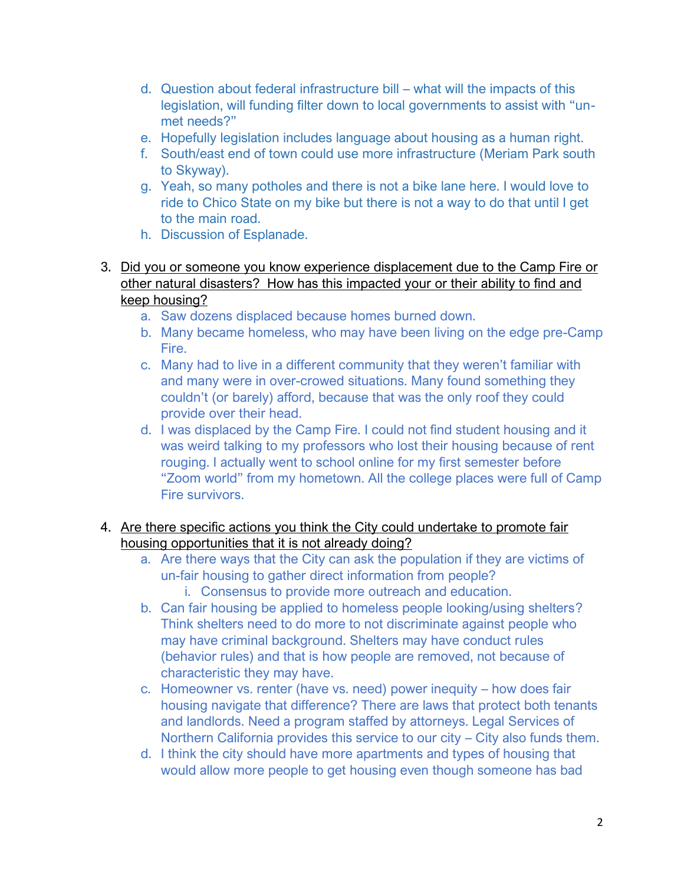- d. Question about federal infrastructure bill what will the impacts of this legislation, will funding filter down to local governments to assist with "unmet needs?"
- e. Hopefully legislation includes language about housing as a human right.
- f. South/east end of town could use more infrastructure (Meriam Park south to Skyway).
- g. Yeah, so many potholes and there is not a bike lane here. I would love to ride to Chico State on my bike but there is not a way to do that until I get to the main road.
- h. Discussion of Esplanade.
- 3. Did you or someone you know experience displacement due to the Camp Fire or other natural disasters? How has this impacted your or their ability to find and keep housing?
	- a. Saw dozens displaced because homes burned down.
	- b. Many became homeless, who may have been living on the edge pre-Camp Fire.
	- c. Many had to live in a different community that they weren't familiar with and many were in over-crowed situations. Many found something they couldn't (or barely) afford, because that was the only roof they could provide over their head.
	- d. I was displaced by the Camp Fire. I could not find student housing and it was weird talking to my professors who lost their housing because of rent rouging. I actually went to school online for my first semester before "Zoom world" from my hometown. All the college places were full of Camp Fire survivors.

## 4. Are there specific actions you think the City could undertake to promote fair housing opportunities that it is not already doing?

- a. Are there ways that the City can ask the population if they are victims of un-fair housing to gather direct information from people?
	- i. Consensus to provide more outreach and education.
- b. Can fair housing be applied to homeless people looking/using shelters? Think shelters need to do more to not discriminate against people who may have criminal background. Shelters may have conduct rules (behavior rules) and that is how people are removed, not because of characteristic they may have.
- c. Homeowner vs. renter (have vs. need) power inequity how does fair housing navigate that difference? There are laws that protect both tenants and landlords. Need a program staffed by attorneys. Legal Services of Northern California provides this service to our city – City also funds them.
- d. I think the city should have more apartments and types of housing that would allow more people to get housing even though someone has bad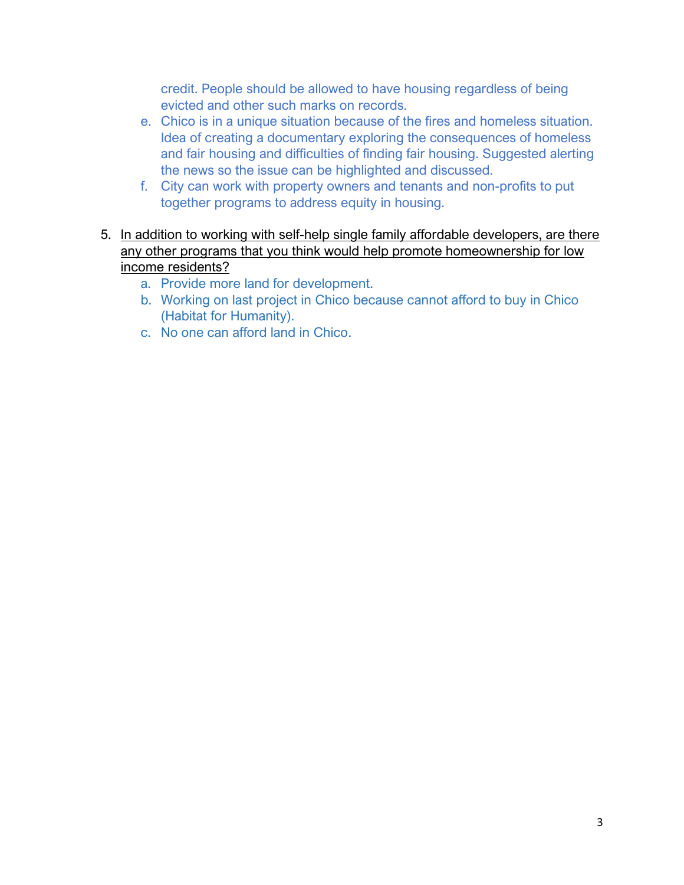credit. People should be allowed to have housing regardless of being evicted and other such marks on records.

- e. Chico is in a unique situation because of the fires and homeless situation. Idea of creating a documentary exploring the consequences of homeless and fair housing and difficulties of finding fair housing. Suggested alerting the news so the issue can be highlighted and discussed.
- f. City can work with property owners and tenants and non-profits to put together programs to address equity in housing.
- 5. In addition to working with self-help single family affordable developers, are there any other programs that you think would help promote homeownership for low income residents?
	- a. Provide more land for development.
	- b. Working on last project in Chico because cannot afford to buy in Chico (Habitat for Humanity).
	- c. No one can afford land in Chico.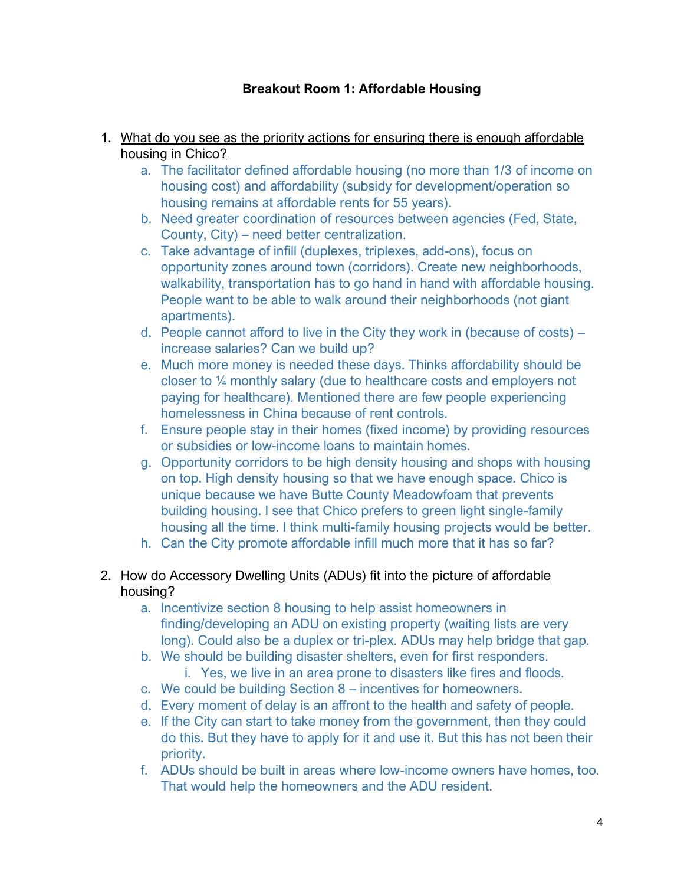# **Breakout Room 1: Affordable Housing**

#### 1. What do you see as the priority actions for ensuring there is enough affordable housing in Chico?

- a. The facilitator defined affordable housing (no more than 1/3 of income on housing cost) and affordability (subsidy for development/operation so housing remains at affordable rents for 55 years).
- b. Need greater coordination of resources between agencies (Fed, State, County, City) – need better centralization.
- c. Take advantage of infill (duplexes, triplexes, add-ons), focus on opportunity zones around town (corridors). Create new neighborhoods, walkability, transportation has to go hand in hand with affordable housing. People want to be able to walk around their neighborhoods (not giant apartments).
- d. People cannot afford to live in the City they work in (because of costs) increase salaries? Can we build up?
- e. Much more money is needed these days. Thinks affordability should be closer to ¼ monthly salary (due to healthcare costs and employers not paying for healthcare). Mentioned there are few people experiencing homelessness in China because of rent controls.
- f. Ensure people stay in their homes (fixed income) by providing resources or subsidies or low-income loans to maintain homes.
- g. Opportunity corridors to be high density housing and shops with housing on top. High density housing so that we have enough space. Chico is unique because we have Butte County Meadowfoam that prevents building housing. I see that Chico prefers to green light single-family housing all the time. I think multi-family housing projects would be better.
- h. Can the City promote affordable infill much more that it has so far?

### 2. How do Accessory Dwelling Units (ADUs) fit into the picture of affordable housing?

- a. Incentivize section 8 housing to help assist homeowners in finding/developing an ADU on existing property (waiting lists are very long). Could also be a duplex or tri-plex. ADUs may help bridge that gap.
- b. We should be building disaster shelters, even for first responders.
	- i. Yes, we live in an area prone to disasters like fires and floods.
- c. We could be building Section 8 incentives for homeowners.
- d. Every moment of delay is an affront to the health and safety of people.
- e. If the City can start to take money from the government, then they could do this. But they have to apply for it and use it. But this has not been their priority.
- f. ADUs should be built in areas where low-income owners have homes, too. That would help the homeowners and the ADU resident.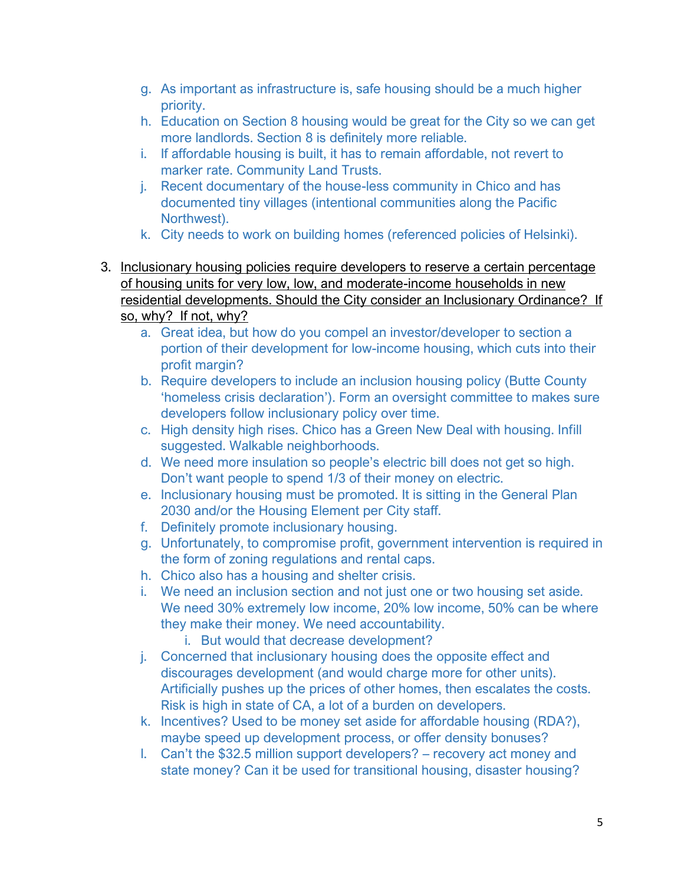- g. As important as infrastructure is, safe housing should be a much higher priority.
- h. Education on Section 8 housing would be great for the City so we can get more landlords. Section 8 is definitely more reliable.
- i. If affordable housing is built, it has to remain affordable, not revert to marker rate. Community Land Trusts.
- j. Recent documentary of the house-less community in Chico and has documented tiny villages (intentional communities along the Pacific Northwest).
- k. City needs to work on building homes (referenced policies of Helsinki).
- 3. Inclusionary housing policies require developers to reserve a certain percentage of housing units for very low, low, and moderate-income households in new residential developments. Should the City consider an Inclusionary Ordinance? If
	- so, why? If not, why?
		- a. Great idea, but how do you compel an investor/developer to section a portion of their development for low-income housing, which cuts into their profit margin?
		- b. Require developers to include an inclusion housing policy (Butte County 'homeless crisis declaration'). Form an oversight committee to makes sure developers follow inclusionary policy over time.
		- c. High density high rises. Chico has a Green New Deal with housing. Infill suggested. Walkable neighborhoods.
		- d. We need more insulation so people's electric bill does not get so high. Don't want people to spend 1/3 of their money on electric.
		- e. Inclusionary housing must be promoted. It is sitting in the General Plan 2030 and/or the Housing Element per City staff.
		- f. Definitely promote inclusionary housing.
		- g. Unfortunately, to compromise profit, government intervention is required in the form of zoning regulations and rental caps.
		- h. Chico also has a housing and shelter crisis.
		- i. We need an inclusion section and not just one or two housing set aside. We need 30% extremely low income, 20% low income, 50% can be where they make their money. We need accountability.
			- i. But would that decrease development?
		- j. Concerned that inclusionary housing does the opposite effect and discourages development (and would charge more for other units). Artificially pushes up the prices of other homes, then escalates the costs. Risk is high in state of CA, a lot of a burden on developers.
		- k. Incentives? Used to be money set aside for affordable housing (RDA?), maybe speed up development process, or offer density bonuses?
		- l. Can't the \$32.5 million support developers? recovery act money and state money? Can it be used for transitional housing, disaster housing?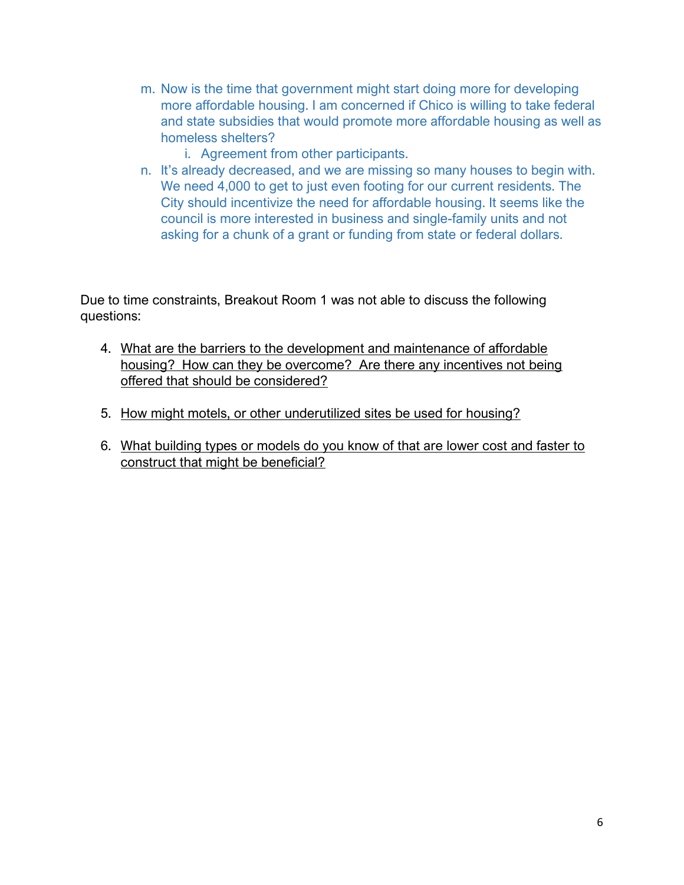- m. Now is the time that government might start doing more for developing more affordable housing. I am concerned if Chico is willing to take federal and state subsidies that would promote more affordable housing as well as homeless shelters?
	- i. Agreement from other participants.
- n. It's already decreased, and we are missing so many houses to begin with. We need 4,000 to get to just even footing for our current residents. The City should incentivize the need for affordable housing. It seems like the council is more interested in business and single-family units and not asking for a chunk of a grant or funding from state or federal dollars.

Due to time constraints, Breakout Room 1 was not able to discuss the following questions:

- 4. What are the barriers to the development and maintenance of affordable housing? How can they be overcome? Are there any incentives not being offered that should be considered?
- 5. How might motels, or other underutilized sites be used for housing?
- 6. What building types or models do you know of that are lower cost and faster to construct that might be beneficial?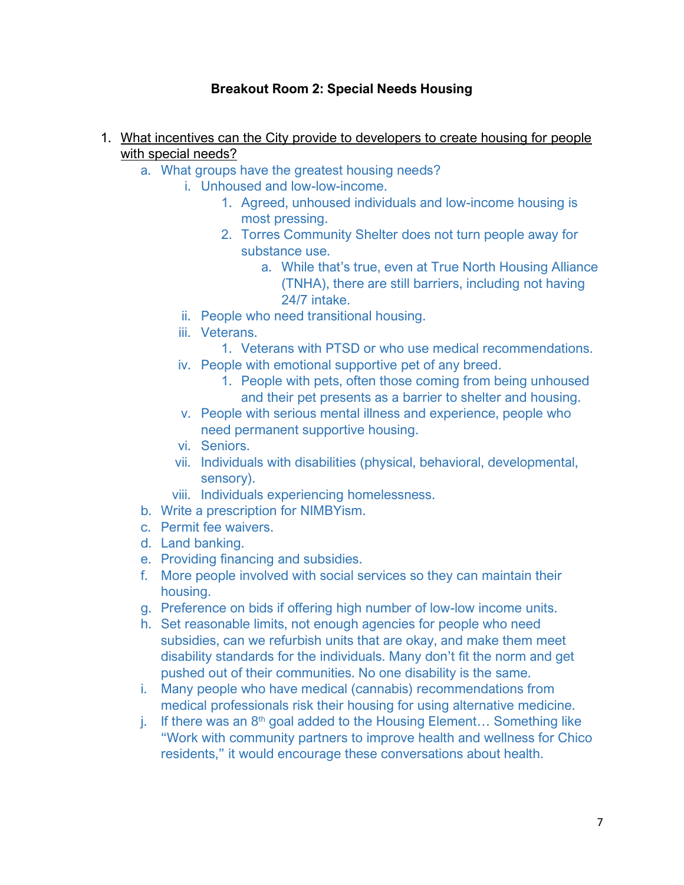## **Breakout Room 2: Special Needs Housing**

- 1. What incentives can the City provide to developers to create housing for people with special needs?
	- a. What groups have the greatest housing needs?
		- i. Unhoused and low-low-income.
			- 1. Agreed, unhoused individuals and low-income housing is most pressing.
			- 2. Torres Community Shelter does not turn people away for substance use.
				- a. While that's true, even at True North Housing Alliance (TNHA), there are still barriers, including not having 24/7 intake.
		- ii. People who need transitional housing.
		- iii. Veterans.
			- 1. Veterans with PTSD or who use medical recommendations.
		- iv. People with emotional supportive pet of any breed.
			- 1. People with pets, often those coming from being unhoused and their pet presents as a barrier to shelter and housing.
		- v. People with serious mental illness and experience, people who need permanent supportive housing.
		- vi. Seniors.
		- vii. Individuals with disabilities (physical, behavioral, developmental, sensory).
		- viii. Individuals experiencing homelessness.
	- b. Write a prescription for NIMBYism.
	- c. Permit fee waivers.
	- d. Land banking.
	- e. Providing financing and subsidies.
	- f. More people involved with social services so they can maintain their housing.
	- g. Preference on bids if offering high number of low-low income units.
	- h. Set reasonable limits, not enough agencies for people who need subsidies, can we refurbish units that are okay, and make them meet disability standards for the individuals. Many don't fit the norm and get pushed out of their communities. No one disability is the same.
	- i. Many people who have medical (cannabis) recommendations from medical professionals risk their housing for using alternative medicine.
	- j. If there was an  $8<sup>th</sup>$  goal added to the Housing Element... Something like "Work with community partners to improve health and wellness for Chico residents," it would encourage these conversations about health.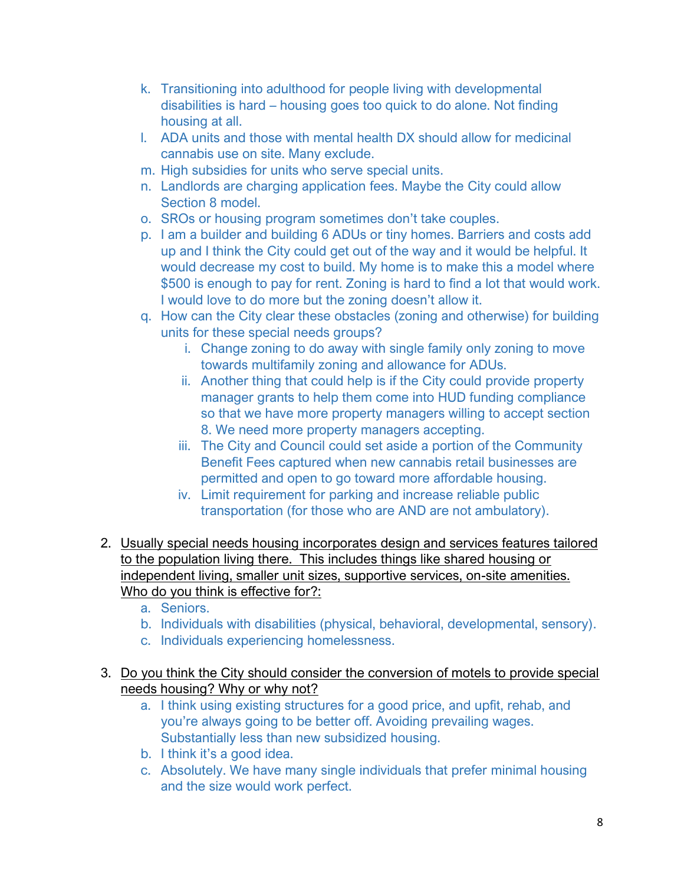- k. Transitioning into adulthood for people living with developmental disabilities is hard – housing goes too quick to do alone. Not finding housing at all.
- l. ADA units and those with mental health DX should allow for medicinal cannabis use on site. Many exclude.
- m. High subsidies for units who serve special units.
- n. Landlords are charging application fees. Maybe the City could allow Section 8 model.
- o. SROs or housing program sometimes don't take couples.
- p. I am a builder and building 6 ADUs or tiny homes. Barriers and costs add up and I think the City could get out of the way and it would be helpful. It would decrease my cost to build. My home is to make this a model where \$500 is enough to pay for rent. Zoning is hard to find a lot that would work. I would love to do more but the zoning doesn't allow it.
- q. How can the City clear these obstacles (zoning and otherwise) for building units for these special needs groups?
	- i. Change zoning to do away with single family only zoning to move towards multifamily zoning and allowance for ADUs.
	- ii. Another thing that could help is if the City could provide property manager grants to help them come into HUD funding compliance so that we have more property managers willing to accept section 8. We need more property managers accepting.
	- iii. The City and Council could set aside a portion of the Community Benefit Fees captured when new cannabis retail businesses are permitted and open to go toward more affordable housing.
	- iv. Limit requirement for parking and increase reliable public transportation (for those who are AND are not ambulatory).
- 2. Usually special needs housing incorporates design and services features tailored to the population living there. This includes things like shared housing or independent living, smaller unit sizes, supportive services, on-site amenities. Who do you think is effective for?:
	- a. Seniors.
	- b. Individuals with disabilities (physical, behavioral, developmental, sensory).
	- c. Individuals experiencing homelessness.
- 3. Do you think the City should consider the conversion of motels to provide special needs housing? Why or why not?
	- a. I think using existing structures for a good price, and upfit, rehab, and you're always going to be better off. Avoiding prevailing wages. Substantially less than new subsidized housing.
	- b. I think it's a good idea.
	- c. Absolutely. We have many single individuals that prefer minimal housing and the size would work perfect.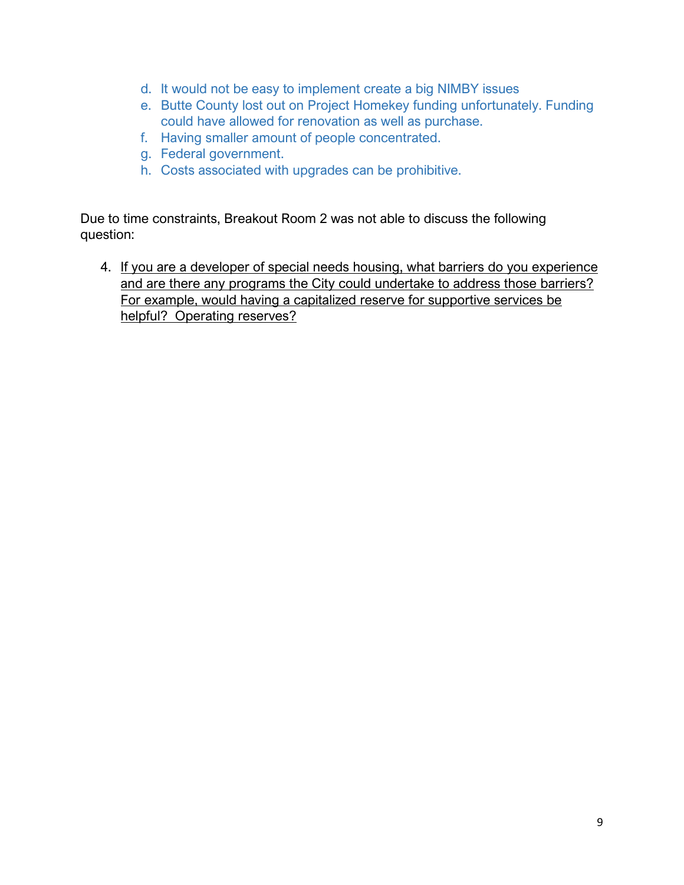- d. It would not be easy to implement create a big NIMBY issues
- e. Butte County lost out on Project Homekey funding unfortunately. Funding could have allowed for renovation as well as purchase.
- f. Having smaller amount of people concentrated.
- g. Federal government.
- h. Costs associated with upgrades can be prohibitive.

Due to time constraints, Breakout Room 2 was not able to discuss the following question:

4. If you are a developer of special needs housing, what barriers do you experience and are there any programs the City could undertake to address those barriers? For example, would having a capitalized reserve for supportive services be helpful? Operating reserves?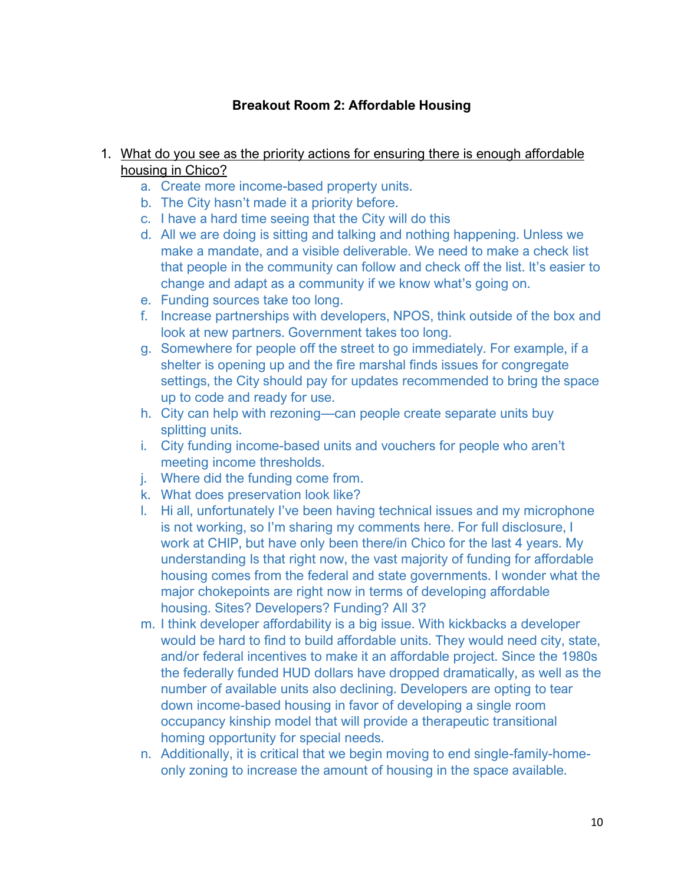## **Breakout Room 2: Affordable Housing**

- 1. What do you see as the priority actions for ensuring there is enough affordable housing in Chico?
	- a. Create more income-based property units.
	- b. The City hasn't made it a priority before.
	- c. I have a hard time seeing that the City will do this
	- d. All we are doing is sitting and talking and nothing happening. Unless we make a mandate, and a visible deliverable. We need to make a check list that people in the community can follow and check off the list. It's easier to change and adapt as a community if we know what's going on.
	- e. Funding sources take too long.
	- f. Increase partnerships with developers, NPOS, think outside of the box and look at new partners. Government takes too long.
	- g. Somewhere for people off the street to go immediately. For example, if a shelter is opening up and the fire marshal finds issues for congregate settings, the City should pay for updates recommended to bring the space up to code and ready for use.
	- h. City can help with rezoning—can people create separate units buy splitting units.
	- i. City funding income-based units and vouchers for people who aren't meeting income thresholds.
	- j. Where did the funding come from.
	- k. What does preservation look like?
	- l. Hi all, unfortunately I've been having technical issues and my microphone is not working, so I'm sharing my comments here. For full disclosure, I work at CHIP, but have only been there/in Chico for the last 4 years. My understanding Is that right now, the vast majority of funding for affordable housing comes from the federal and state governments. I wonder what the major chokepoints are right now in terms of developing affordable housing. Sites? Developers? Funding? All 3?
	- m. I think developer affordability is a big issue. With kickbacks a developer would be hard to find to build affordable units. They would need city, state, and/or federal incentives to make it an affordable project. Since the 1980s the federally funded HUD dollars have dropped dramatically, as well as the number of available units also declining. Developers are opting to tear down income-based housing in favor of developing a single room occupancy kinship model that will provide a therapeutic transitional homing opportunity for special needs.
	- n. Additionally, it is critical that we begin moving to end single-family-homeonly zoning to increase the amount of housing in the space available.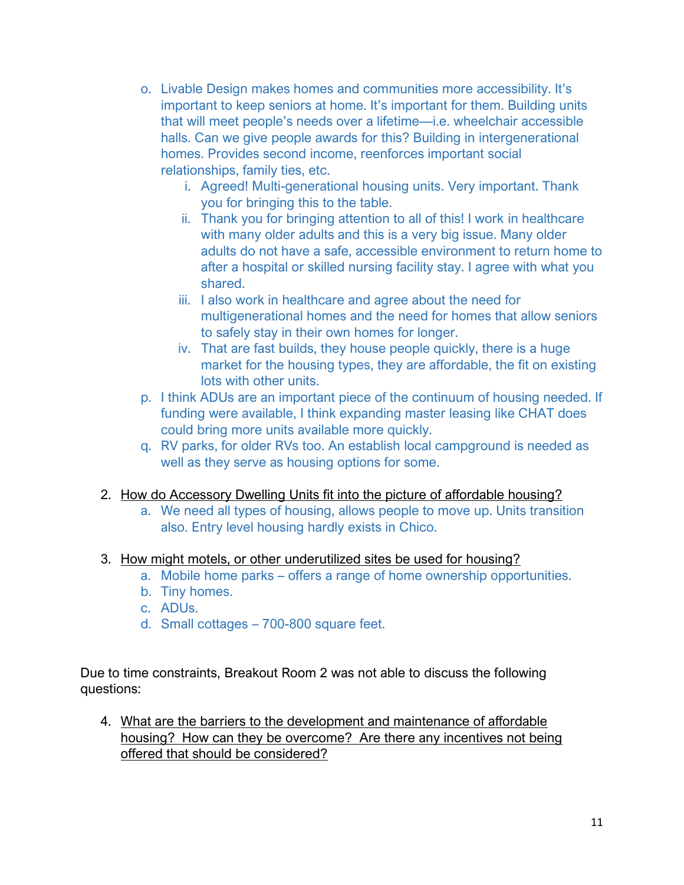- o. Livable Design makes homes and communities more accessibility. It's important to keep seniors at home. It's important for them. Building units that will meet people's needs over a lifetime—i.e. wheelchair accessible halls. Can we give people awards for this? Building in intergenerational homes. Provides second income, reenforces important social relationships, family ties, etc.
	- i. Agreed! Multi-generational housing units. Very important. Thank you for bringing this to the table.
	- ii. Thank you for bringing attention to all of this! I work in healthcare with many older adults and this is a very big issue. Many older adults do not have a safe, accessible environment to return home to after a hospital or skilled nursing facility stay. I agree with what you shared.
	- iii. I also work in healthcare and agree about the need for multigenerational homes and the need for homes that allow seniors to safely stay in their own homes for longer.
	- iv. That are fast builds, they house people quickly, there is a huge market for the housing types, they are affordable, the fit on existing lots with other units.
- p. I think ADUs are an important piece of the continuum of housing needed. If funding were available, I think expanding master leasing like CHAT does could bring more units available more quickly.
- q. RV parks, for older RVs too. An establish local campground is needed as well as they serve as housing options for some.
- 2. How do Accessory Dwelling Units fit into the picture of affordable housing?
	- a. We need all types of housing, allows people to move up. Units transition also. Entry level housing hardly exists in Chico.

#### 3. How might motels, or other underutilized sites be used for housing?

- a. Mobile home parks offers a range of home ownership opportunities.
- b. Tiny homes.
- c. ADUs.
- d. Small cottages 700-800 square feet.

Due to time constraints, Breakout Room 2 was not able to discuss the following questions:

4. What are the barriers to the development and maintenance of affordable housing? How can they be overcome? Are there any incentives not being offered that should be considered?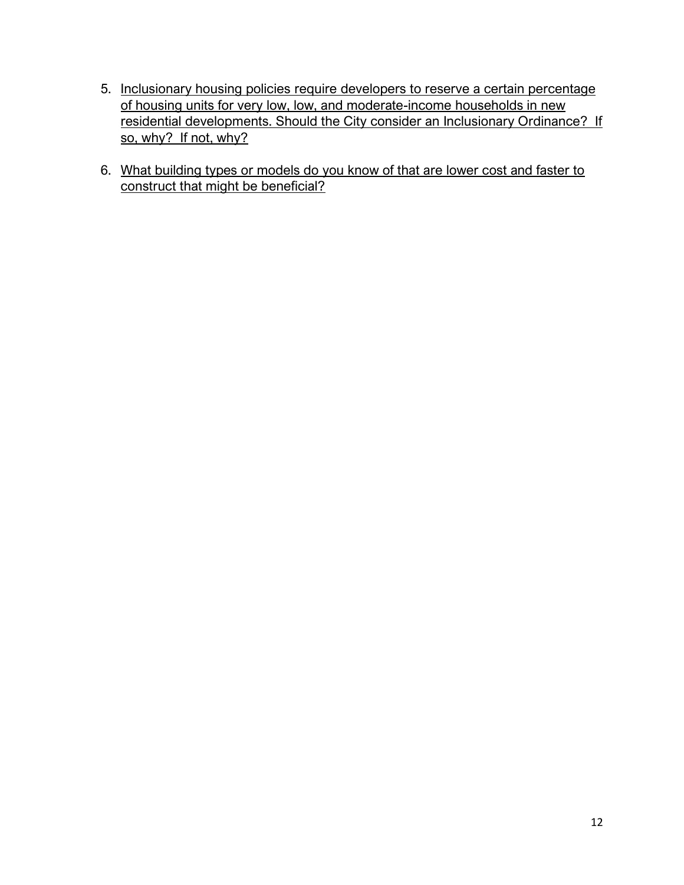- 5. Inclusionary housing policies require developers to reserve a certain percentage of housing units for very low, low, and moderate-income households in new residential developments. Should the City consider an Inclusionary Ordinance? If so, why? If not, why?
- 6. What building types or models do you know of that are lower cost and faster to construct that might be beneficial?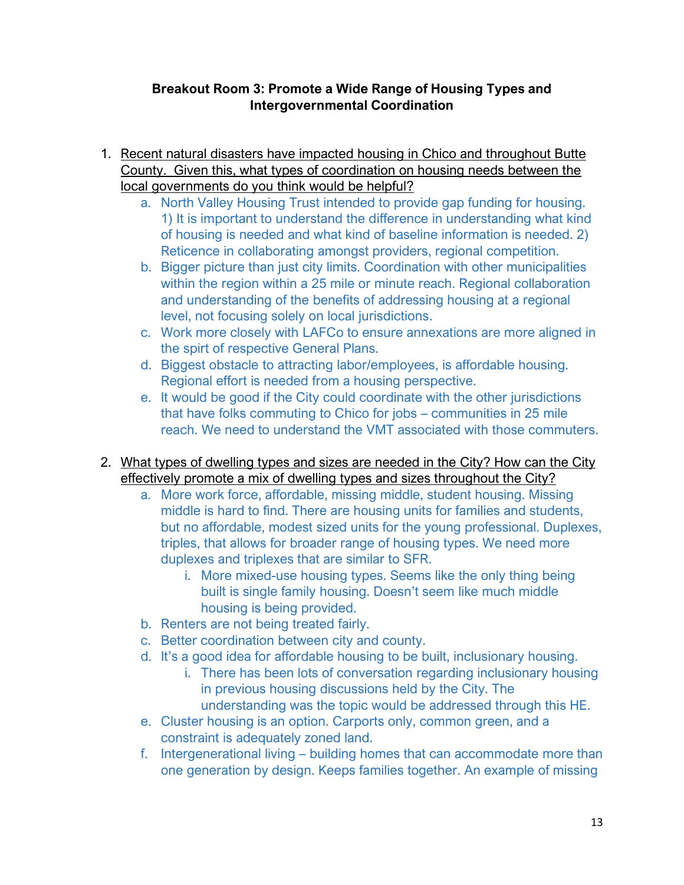## **Breakout Room 3: Promote a Wide Range of Housing Types and Intergovernmental Coordination**

- 1. Recent natural disasters have impacted housing in Chico and throughout Butte County. Given this, what types of coordination on housing needs between the local governments do you think would be helpful?
	- a. North Valley Housing Trust intended to provide gap funding for housing. 1) It is important to understand the difference in understanding what kind of housing is needed and what kind of baseline information is needed. 2) Reticence in collaborating amongst providers, regional competition.
	- b. Bigger picture than just city limits. Coordination with other municipalities within the region within a 25 mile or minute reach. Regional collaboration and understanding of the benefits of addressing housing at a regional level, not focusing solely on local jurisdictions.
	- c. Work more closely with LAFCo to ensure annexations are more aligned in the spirt of respective General Plans.
	- d. Biggest obstacle to attracting labor/employees, is affordable housing. Regional effort is needed from a housing perspective.
	- e. It would be good if the City could coordinate with the other jurisdictions that have folks commuting to Chico for jobs – communities in 25 mile reach. We need to understand the VMT associated with those commuters.
- 2. What types of dwelling types and sizes are needed in the City? How can the City effectively promote a mix of dwelling types and sizes throughout the City?
	- a. More work force, affordable, missing middle, student housing. Missing middle is hard to find. There are housing units for families and students, but no affordable, modest sized units for the young professional. Duplexes, triples, that allows for broader range of housing types. We need more duplexes and triplexes that are similar to SFR.
		- i. More mixed-use housing types. Seems like the only thing being built is single family housing. Doesn't seem like much middle housing is being provided.
	- b. Renters are not being treated fairly.
	- c. Better coordination between city and county.
	- d. It's a good idea for affordable housing to be built, inclusionary housing.
		- i. There has been lots of conversation regarding inclusionary housing in previous housing discussions held by the City. The understanding was the topic would be addressed through this HE.
	- e. Cluster housing is an option. Carports only, common green, and a constraint is adequately zoned land.
	- f. Intergenerational living building homes that can accommodate more than one generation by design. Keeps families together. An example of missing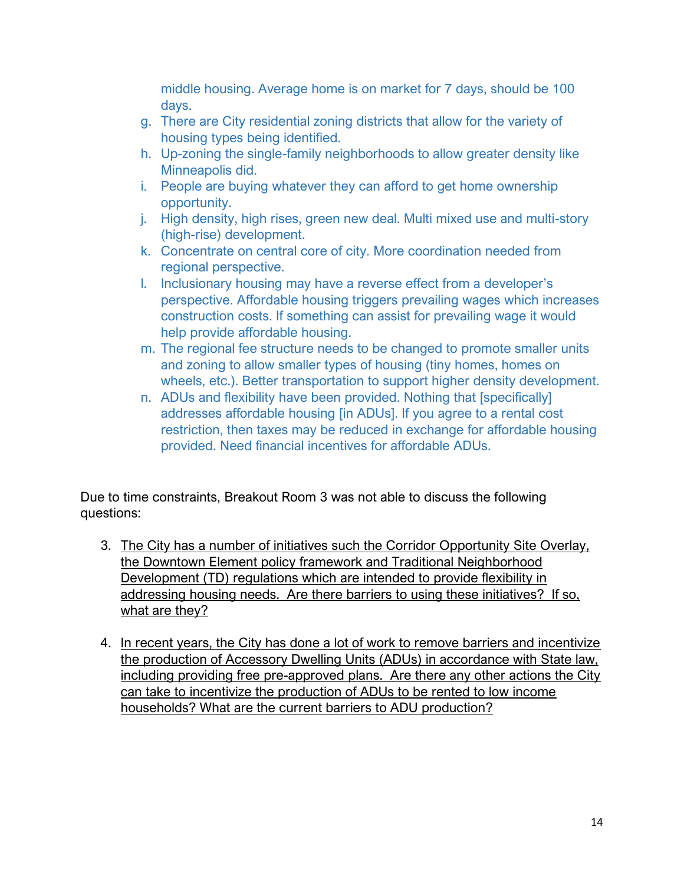middle housing. Average home is on market for 7 days, should be 100 days.

- g. There are City residential zoning districts that allow for the variety of housing types being identified.
- h. Up-zoning the single-family neighborhoods to allow greater density like Minneapolis did.
- i. People are buying whatever they can afford to get home ownership opportunity.
- j. High density, high rises, green new deal. Multi mixed use and multi-story (high-rise) development.
- k. Concentrate on central core of city. More coordination needed from regional perspective.
- l. Inclusionary housing may have a reverse effect from a developer's perspective. Affordable housing triggers prevailing wages which increases construction costs. If something can assist for prevailing wage it would help provide affordable housing.
- m. The regional fee structure needs to be changed to promote smaller units and zoning to allow smaller types of housing (tiny homes, homes on wheels, etc.). Better transportation to support higher density development.
- n. ADUs and flexibility have been provided. Nothing that [specifically] addresses affordable housing [in ADUs]. If you agree to a rental cost restriction, then taxes may be reduced in exchange for affordable housing provided. Need financial incentives for affordable ADUs.

Due to time constraints, Breakout Room 3 was not able to discuss the following questions:

- 3. The City has a number of initiatives such the Corridor Opportunity Site Overlay, the Downtown Element policy framework and Traditional Neighborhood Development (TD) regulations which are intended to provide flexibility in addressing housing needs. Are there barriers to using these initiatives? If so, what are they?
- 4. In recent years, the City has done a lot of work to remove barriers and incentivize the production of Accessory Dwelling Units (ADUs) in accordance with State law, including providing free pre-approved plans. Are there any other actions the City can take to incentivize the production of ADUs to be rented to low income households? What are the current barriers to ADU production?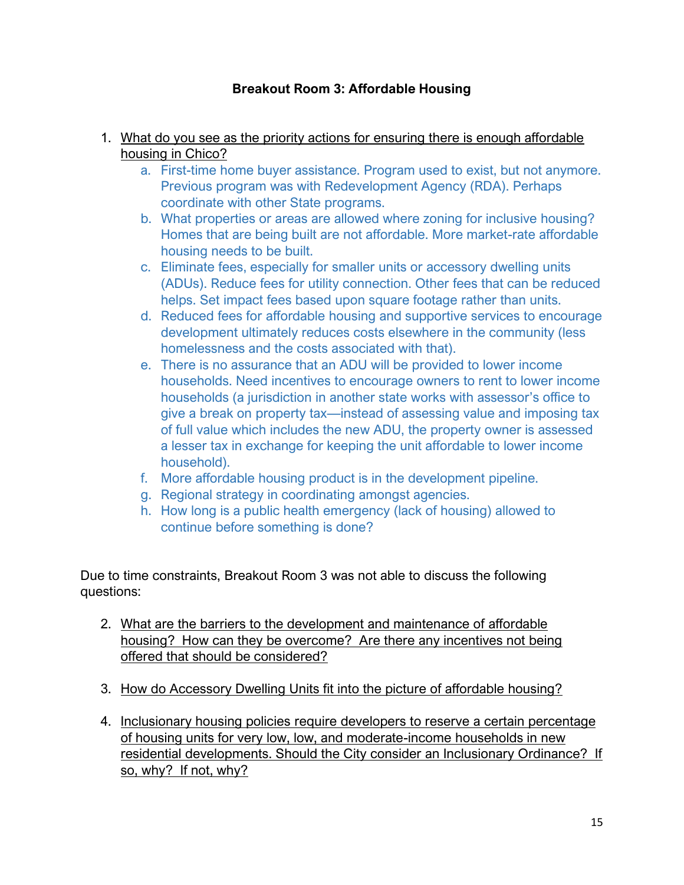## **Breakout Room 3: Affordable Housing**

- 1. What do you see as the priority actions for ensuring there is enough affordable housing in Chico?
	- a. First-time home buyer assistance. Program used to exist, but not anymore. Previous program was with Redevelopment Agency (RDA). Perhaps coordinate with other State programs.
	- b. What properties or areas are allowed where zoning for inclusive housing? Homes that are being built are not affordable. More market-rate affordable housing needs to be built.
	- c. Eliminate fees, especially for smaller units or accessory dwelling units (ADUs). Reduce fees for utility connection. Other fees that can be reduced helps. Set impact fees based upon square footage rather than units.
	- d. Reduced fees for affordable housing and supportive services to encourage development ultimately reduces costs elsewhere in the community (less homelessness and the costs associated with that).
	- e. There is no assurance that an ADU will be provided to lower income households. Need incentives to encourage owners to rent to lower income households (a jurisdiction in another state works with assessor's office to give a break on property tax—instead of assessing value and imposing tax of full value which includes the new ADU, the property owner is assessed a lesser tax in exchange for keeping the unit affordable to lower income household).
	- f. More affordable housing product is in the development pipeline.
	- g. Regional strategy in coordinating amongst agencies.
	- h. How long is a public health emergency (lack of housing) allowed to continue before something is done?

Due to time constraints, Breakout Room 3 was not able to discuss the following questions:

- 2. What are the barriers to the development and maintenance of affordable housing? How can they be overcome? Are there any incentives not being offered that should be considered?
- 3. How do Accessory Dwelling Units fit into the picture of affordable housing?
- 4. Inclusionary housing policies require developers to reserve a certain percentage of housing units for very low, low, and moderate-income households in new residential developments. Should the City consider an Inclusionary Ordinance? If so, why? If not, why?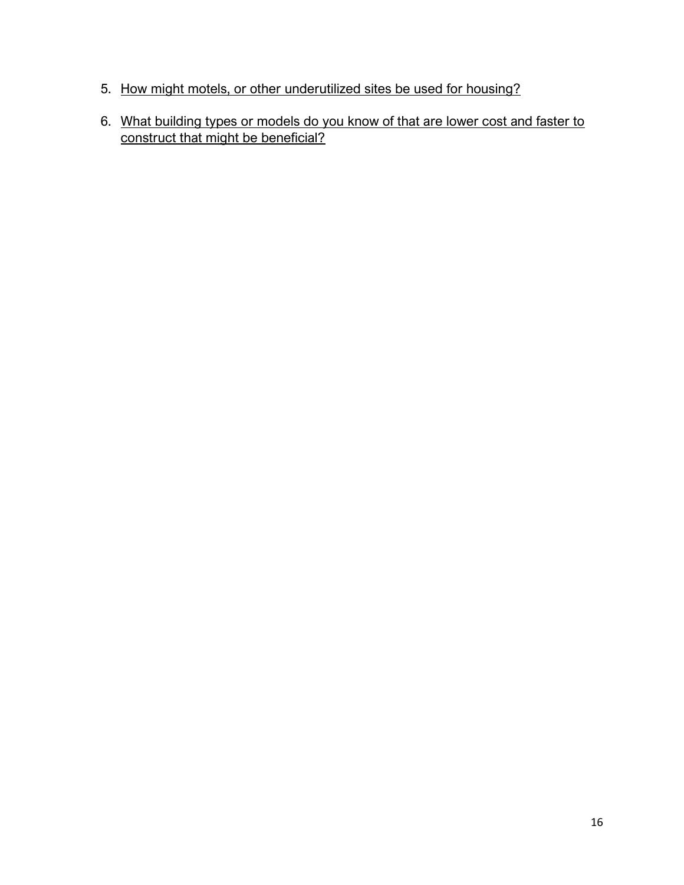- 5. How might motels, or other underutilized sites be used for housing?
- 6. What building types or models do you know of that are lower cost and faster to construct that might be beneficial?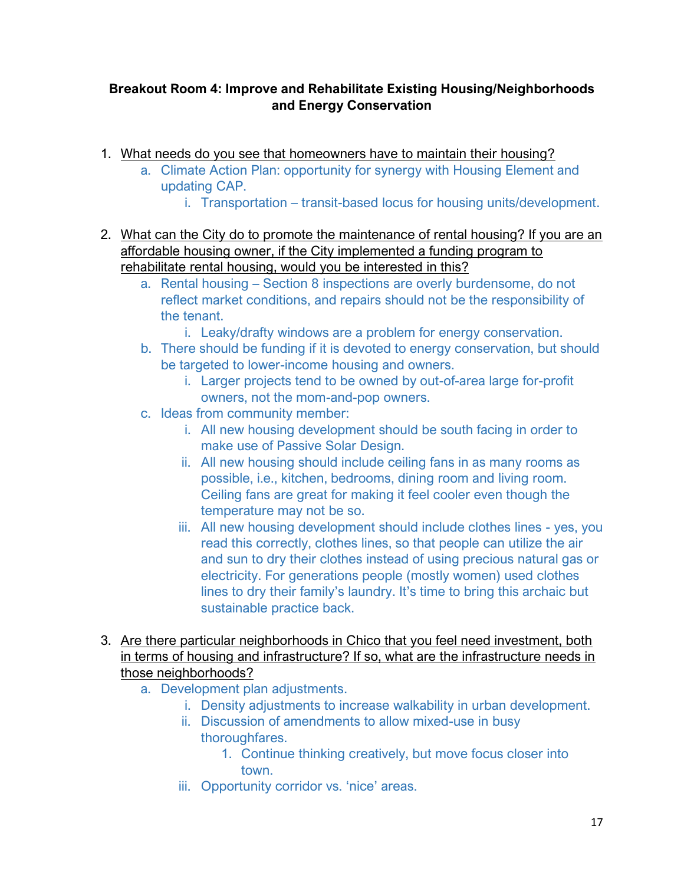## **Breakout Room 4: Improve and Rehabilitate Existing Housing/Neighborhoods and Energy Conservation**

- 1. What needs do you see that homeowners have to maintain their housing?
	- a. Climate Action Plan: opportunity for synergy with Housing Element and updating CAP.
		- i. Transportation transit-based locus for housing units/development.
- 2. What can the City do to promote the maintenance of rental housing? If you are an affordable housing owner, if the City implemented a funding program to rehabilitate rental housing, would you be interested in this?
	- a. Rental housing Section 8 inspections are overly burdensome, do not reflect market conditions, and repairs should not be the responsibility of the tenant.
		- i. Leaky/drafty windows are a problem for energy conservation.
	- b. There should be funding if it is devoted to energy conservation, but should be targeted to lower-income housing and owners.
		- i. Larger projects tend to be owned by out-of-area large for-profit owners, not the mom-and-pop owners.
	- c. Ideas from community member:
		- i. All new housing development should be south facing in order to make use of Passive Solar Design.
		- ii. All new housing should include ceiling fans in as many rooms as possible, i.e., kitchen, bedrooms, dining room and living room. Ceiling fans are great for making it feel cooler even though the temperature may not be so.
		- iii. All new housing development should include clothes lines yes, you read this correctly, clothes lines, so that people can utilize the air and sun to dry their clothes instead of using precious natural gas or electricity. For generations people (mostly women) used clothes lines to dry their family's laundry. It's time to bring this archaic but sustainable practice back.
- 3. Are there particular neighborhoods in Chico that you feel need investment, both in terms of housing and infrastructure? If so, what are the infrastructure needs in those neighborhoods?
	- a. Development plan adjustments.
		- i. Density adjustments to increase walkability in urban development.
		- ii. Discussion of amendments to allow mixed-use in busy thoroughfares.
			- 1. Continue thinking creatively, but move focus closer into town.
		- iii. Opportunity corridor vs. 'nice' areas.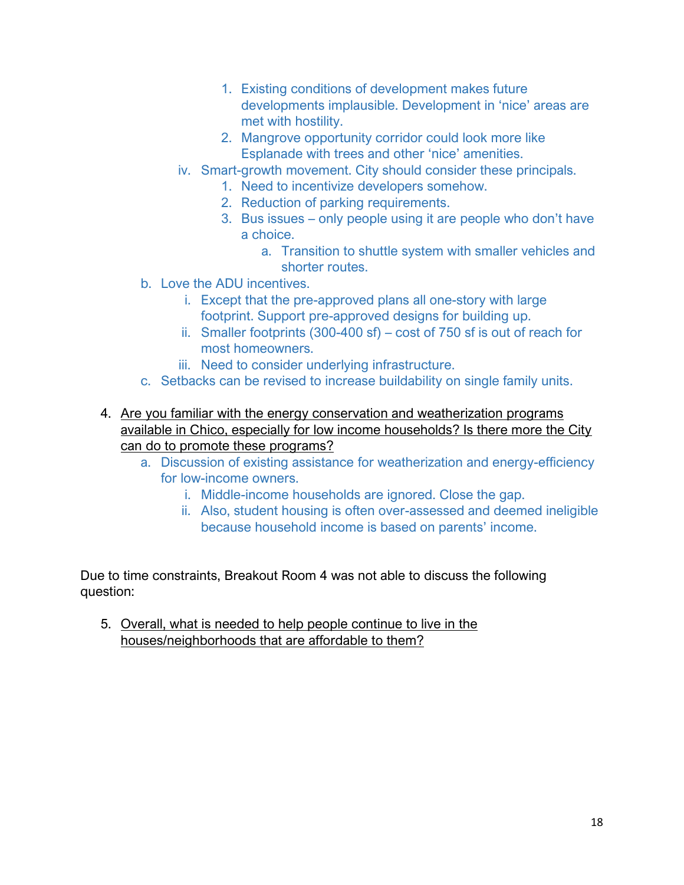- 1. Existing conditions of development makes future developments implausible. Development in 'nice' areas are met with hostility.
- 2. Mangrove opportunity corridor could look more like Esplanade with trees and other 'nice' amenities.
- iv. Smart-growth movement. City should consider these principals.
	- 1. Need to incentivize developers somehow.
	- 2. Reduction of parking requirements.
	- 3. Bus issues only people using it are people who don't have a choice.
		- a. Transition to shuttle system with smaller vehicles and shorter routes.
- b. Love the ADU incentives.
	- i. Except that the pre-approved plans all one-story with large footprint. Support pre-approved designs for building up.
	- ii. Smaller footprints (300-400 sf) cost of 750 sf is out of reach for most homeowners.
	- iii. Need to consider underlying infrastructure.
- c. Setbacks can be revised to increase buildability on single family units.
- 4. Are you familiar with the energy conservation and weatherization programs available in Chico, especially for low income households? Is there more the City can do to promote these programs?
	- a. Discussion of existing assistance for weatherization and energy-efficiency for low-income owners.
		- i. Middle-income households are ignored. Close the gap.
		- ii. Also, student housing is often over-assessed and deemed ineligible because household income is based on parents' income.

Due to time constraints, Breakout Room 4 was not able to discuss the following question:

5. Overall, what is needed to help people continue to live in the houses/neighborhoods that are affordable to them?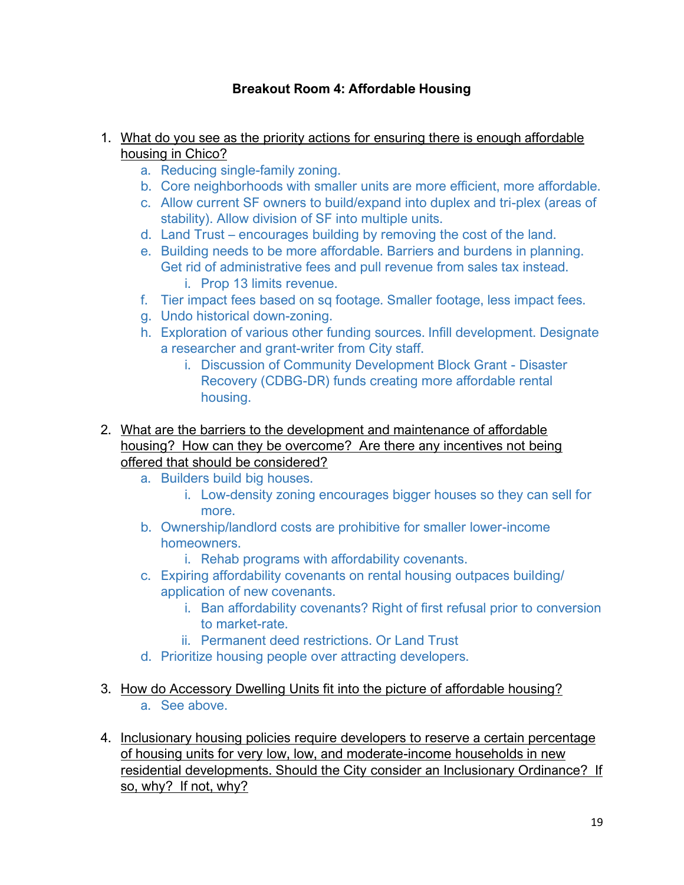# **Breakout Room 4: Affordable Housing**

### 1. What do you see as the priority actions for ensuring there is enough affordable housing in Chico?

- a. Reducing single-family zoning.
- b. Core neighborhoods with smaller units are more efficient, more affordable.
- c. Allow current SF owners to build/expand into duplex and tri-plex (areas of stability). Allow division of SF into multiple units.
- d. Land Trust encourages building by removing the cost of the land.
- e. Building needs to be more affordable. Barriers and burdens in planning. Get rid of administrative fees and pull revenue from sales tax instead. i. Prop 13 limits revenue.
- f. Tier impact fees based on sq footage. Smaller footage, less impact fees.
- g. Undo historical down-zoning.
- h. Exploration of various other funding sources. Infill development. Designate a researcher and grant-writer from City staff.
	- i. Discussion of Community Development Block Grant Disaster Recovery (CDBG-DR) funds creating more affordable rental housing.
- 2. What are the barriers to the development and maintenance of affordable housing? How can they be overcome? Are there any incentives not being offered that should be considered?
	- a. Builders build big houses.
		- i. Low-density zoning encourages bigger houses so they can sell for more.
	- b. Ownership/landlord costs are prohibitive for smaller lower-income homeowners.
		- i. Rehab programs with affordability covenants.
	- c. Expiring affordability covenants on rental housing outpaces building/ application of new covenants.
		- i. Ban affordability covenants? Right of first refusal prior to conversion to market-rate.
		- ii. Permanent deed restrictions. Or Land Trust
	- d. Prioritize housing people over attracting developers.
- 3. How do Accessory Dwelling Units fit into the picture of affordable housing? a. See above.
- 4. Inclusionary housing policies require developers to reserve a certain percentage of housing units for very low, low, and moderate-income households in new residential developments. Should the City consider an Inclusionary Ordinance? If so, why? If not, why?